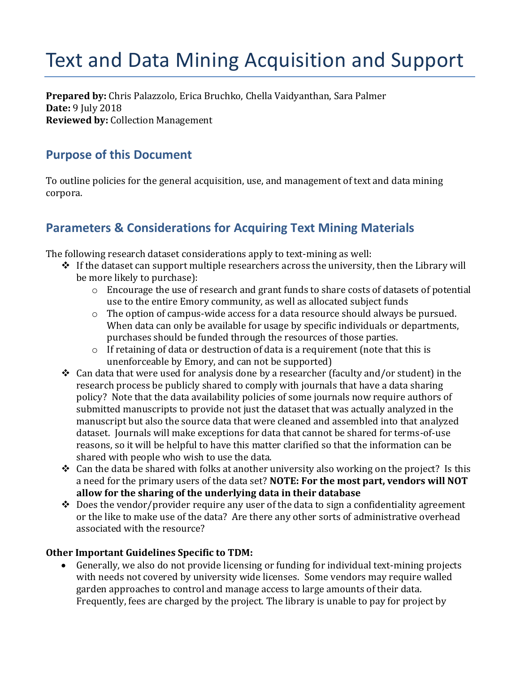# Text and Data Mining Acquisition and Support

**Prepared by:** Chris Palazzolo, Erica Bruchko, Chella Vaidyanthan, Sara Palmer **Date:** 9 July 2018 **Reviewed by:** Collection Management

### **Purpose of this Document**

To outline policies for the general acquisition, use, and management of text and data mining corpora.

## **Parameters & Considerations for Acquiring Text Mining Materials**

The following research dataset considerations apply to text-mining as well:

- $\div$  If the dataset can support multiple researchers across the university, then the Library will be more likely to purchase):
	- o Encourage the use of research and grant funds to share costs of datasets of potential use to the entire Emory community, as well as allocated subject funds
	- o The option of campus-wide access for a data resource should always be pursued. When data can only be available for usage by specific individuals or departments, purchases should be funded through the resources of those parties.
	- o If retaining of data or destruction of data is a requirement (note that this is unenforceable by Emory, and can not be supported)
- ❖ Can data that were used for analysis done by a researcher (faculty and/or student) in the research process be publicly shared to comply with journals that have a data sharing policy? Note that the data availability policies of some journals now require authors of submitted manuscripts to provide not just the dataset that was actually analyzed in the manuscript but also the source data that were cleaned and assembled into that analyzed dataset. Journals will make exceptions for data that cannot be shared for terms-of-use reasons, so it will be helpful to have this matter clarified so that the information can be shared with people who wish to use the data.
- $\div$  Can the data be shared with folks at another university also working on the project? Is this a need for the primary users of the data set? **NOTE: For the most part, vendors will NOT allow for the sharing of the underlying data in their database**
- $\triangle$  Does the vendor/provider require any user of the data to sign a confidentiality agreement or the like to make use of the data? Are there any other sorts of administrative overhead associated with the resource?

#### **Other Important Guidelines Specific to TDM:**

• Generally, we also do not provide licensing or funding for individual text-mining projects with needs not covered by university wide licenses. Some vendors may require walled garden approaches to control and manage access to large amounts of their data. Frequently, fees are charged by the project. The library is unable to pay for project by